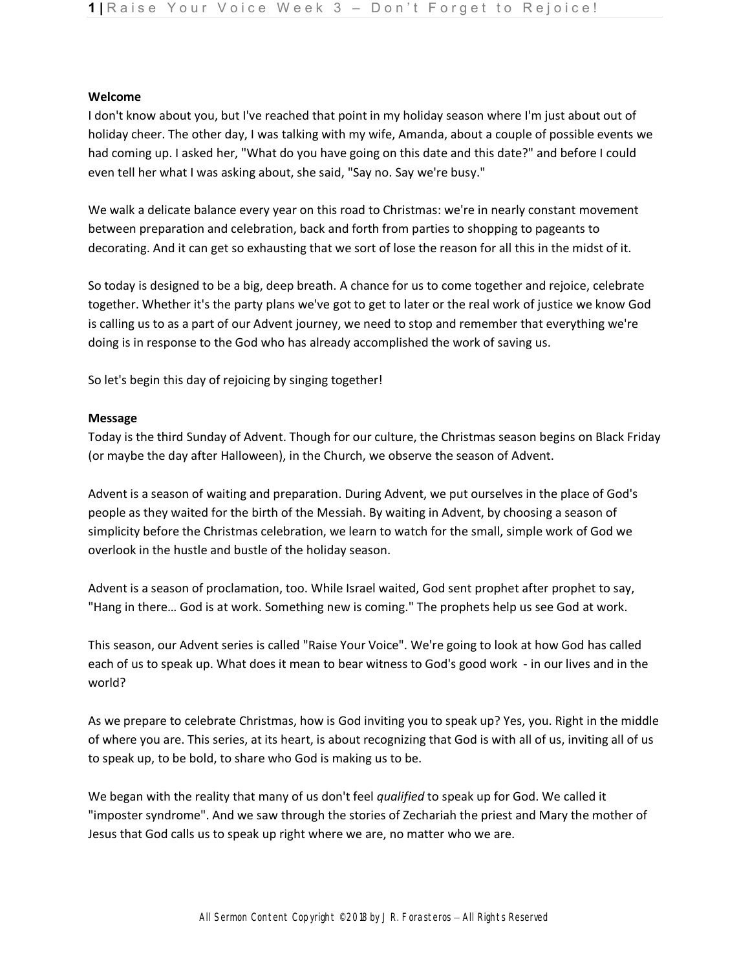### **Welcome**

I don't know about you, but I've reached that point in my holiday season where I'm just about out of holiday cheer. The other day, I was talking with my wife, Amanda, about a couple of possible events we had coming up. I asked her, "What do you have going on this date and this date?" and before I could even tell her what I was asking about, she said, "Say no. Say we're busy."

We walk a delicate balance every year on this road to Christmas: we're in nearly constant movement between preparation and celebration, back and forth from parties to shopping to pageants to decorating. And it can get so exhausting that we sort of lose the reason for all this in the midst of it.

So today is designed to be a big, deep breath. A chance for us to come together and rejoice, celebrate together. Whether it's the party plans we've got to get to later or the real work of justice we know God is calling us to as a part of our Advent journey, we need to stop and remember that everything we're doing is in response to the God who has already accomplished the work of saving us.

So let's begin this day of rejoicing by singing together!

### **Message**

Today is the third Sunday of Advent. Though for our culture, the Christmas season begins on Black Friday (or maybe the day after Halloween), in the Church, we observe the season of Advent.

Advent is a season of waiting and preparation. During Advent, we put ourselves in the place of God's people as they waited for the birth of the Messiah. By waiting in Advent, by choosing a season of simplicity before the Christmas celebration, we learn to watch for the small, simple work of God we overlook in the hustle and bustle of the holiday season.

Advent is a season of proclamation, too. While Israel waited, God sent prophet after prophet to say, "Hang in there… God is at work. Something new is coming." The prophets help us see God at work.

This season, our Advent series is called "Raise Your Voice". We're going to look at how God has called each of us to speak up. What does it mean to bear witness to God's good work - in our lives and in the world?

As we prepare to celebrate Christmas, how is God inviting you to speak up? Yes, you. Right in the middle of where you are. This series, at its heart, is about recognizing that God is with all of us, inviting all of us to speak up, to be bold, to share who God is making us to be.

We began with the reality that many of us don't feel *qualified* to speak up for God. We called it "imposter syndrome". And we saw through the stories of Zechariah the priest and Mary the mother of Jesus that God calls us to speak up right where we are, no matter who we are.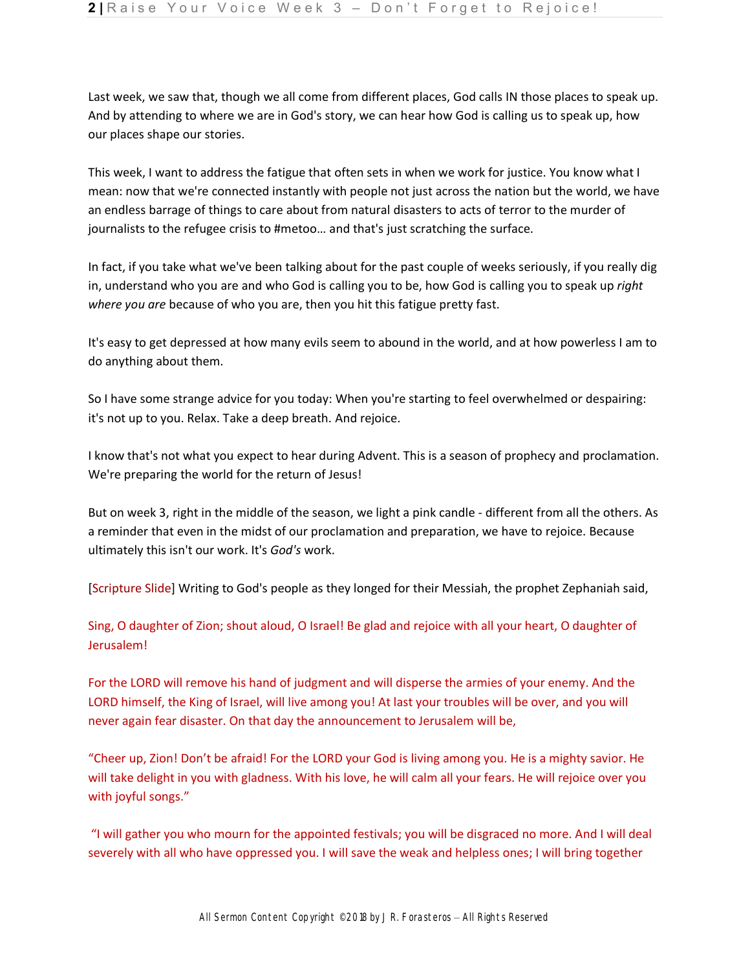Last week, we saw that, though we all come from different places, God calls IN those places to speak up. And by attending to where we are in God's story, we can hear how God is calling us to speak up, how our places shape our stories.

This week, I want to address the fatigue that often sets in when we work for justice. You know what I mean: now that we're connected instantly with people not just across the nation but the world, we have an endless barrage of things to care about from natural disasters to acts of terror to the murder of journalists to the refugee crisis to #metoo… and that's just scratching the surface.

In fact, if you take what we've been talking about for the past couple of weeks seriously, if you really dig in, understand who you are and who God is calling you to be, how God is calling you to speak up *right where you are* because of who you are, then you hit this fatigue pretty fast.

It's easy to get depressed at how many evils seem to abound in the world, and at how powerless I am to do anything about them.

So I have some strange advice for you today: When you're starting to feel overwhelmed or despairing: it's not up to you. Relax. Take a deep breath. And rejoice.

I know that's not what you expect to hear during Advent. This is a season of prophecy and proclamation. We're preparing the world for the return of Jesus!

But on week 3, right in the middle of the season, we light a pink candle - different from all the others. As a reminder that even in the midst of our proclamation and preparation, we have to rejoice. Because ultimately this isn't our work. It's *God's* work.

[Scripture Slide] Writing to God's people as they longed for their Messiah, the prophet Zephaniah said,

Sing, O daughter of Zion; shout aloud, O Israel! Be glad and rejoice with all your heart, O daughter of Jerusalem!

For the LORD will remove his hand of judgment and will disperse the armies of your enemy. And the LORD himself, the King of Israel, will live among you! At last your troubles will be over, and you will never again fear disaster. On that day the announcement to Jerusalem will be,

"Cheer up, Zion! Don't be afraid! For the LORD your God is living among you. He is a mighty savior. He will take delight in you with gladness. With his love, he will calm all your fears. He will rejoice over you with joyful songs."

"I will gather you who mourn for the appointed festivals; you will be disgraced no more. And I will deal severely with all who have oppressed you. I will save the weak and helpless ones; I will bring together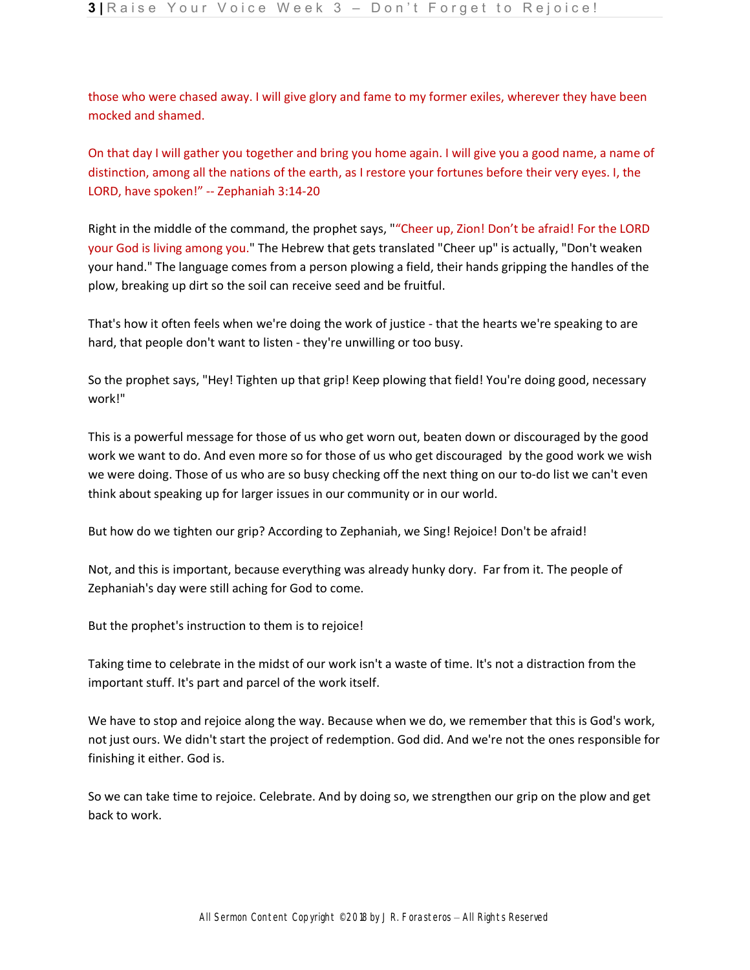those who were chased away. I will give glory and fame to my former exiles, wherever they have been mocked and shamed.

On that day I will gather you together and bring you home again. I will give you a good name, a name of distinction, among all the nations of the earth, as I restore your fortunes before their very eyes. I, the LORD, have spoken!" -- Zephaniah 3:14-20

Right in the middle of the command, the prophet says, ""Cheer up, Zion! Don't be afraid! For the LORD your God is living among you." The Hebrew that gets translated "Cheer up" is actually, "Don't weaken your hand." The language comes from a person plowing a field, their hands gripping the handles of the plow, breaking up dirt so the soil can receive seed and be fruitful.

That's how it often feels when we're doing the work of justice - that the hearts we're speaking to are hard, that people don't want to listen - they're unwilling or too busy.

So the prophet says, "Hey! Tighten up that grip! Keep plowing that field! You're doing good, necessary work!"

This is a powerful message for those of us who get worn out, beaten down or discouraged by the good work we want to do. And even more so for those of us who get discouraged by the good work we wish we were doing. Those of us who are so busy checking off the next thing on our to-do list we can't even think about speaking up for larger issues in our community or in our world.

But how do we tighten our grip? According to Zephaniah, we Sing! Rejoice! Don't be afraid!

Not, and this is important, because everything was already hunky dory. Far from it. The people of Zephaniah's day were still aching for God to come.

But the prophet's instruction to them is to rejoice!

Taking time to celebrate in the midst of our work isn't a waste of time. It's not a distraction from the important stuff. It's part and parcel of the work itself.

We have to stop and rejoice along the way. Because when we do, we remember that this is God's work, not just ours. We didn't start the project of redemption. God did. And we're not the ones responsible for finishing it either. God is.

So we can take time to rejoice. Celebrate. And by doing so, we strengthen our grip on the plow and get back to work.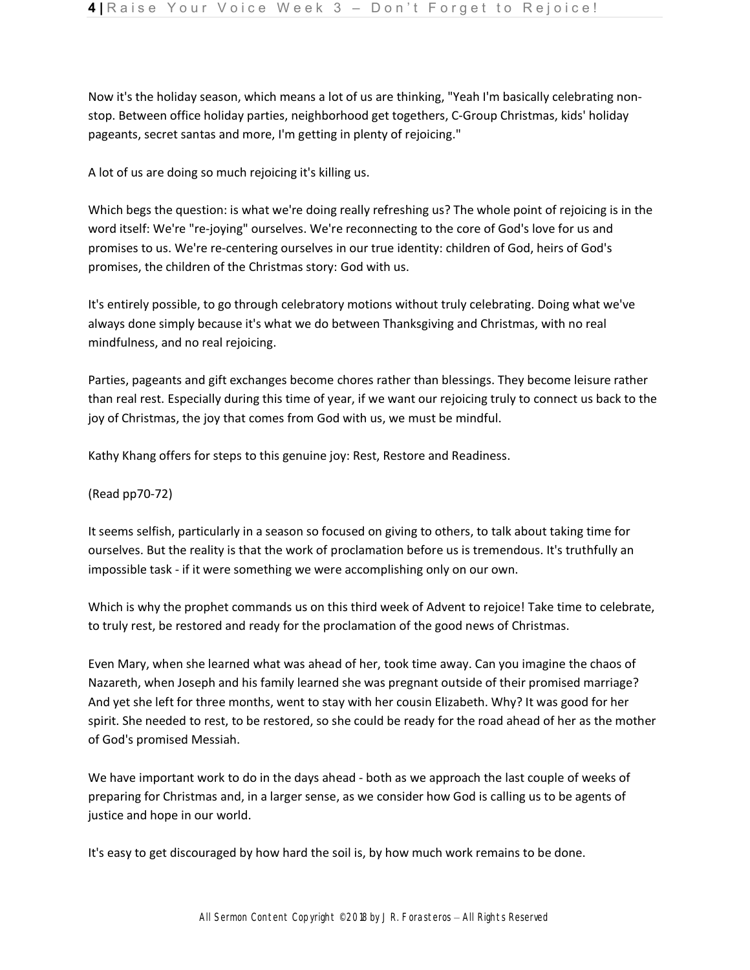Now it's the holiday season, which means a lot of us are thinking, "Yeah I'm basically celebrating nonstop. Between office holiday parties, neighborhood get togethers, C-Group Christmas, kids' holiday pageants, secret santas and more, I'm getting in plenty of rejoicing."

A lot of us are doing so much rejoicing it's killing us.

Which begs the question: is what we're doing really refreshing us? The whole point of rejoicing is in the word itself: We're "re-joying" ourselves. We're reconnecting to the core of God's love for us and promises to us. We're re-centering ourselves in our true identity: children of God, heirs of God's promises, the children of the Christmas story: God with us.

It's entirely possible, to go through celebratory motions without truly celebrating. Doing what we've always done simply because it's what we do between Thanksgiving and Christmas, with no real mindfulness, and no real rejoicing.

Parties, pageants and gift exchanges become chores rather than blessings. They become leisure rather than real rest. Especially during this time of year, if we want our rejoicing truly to connect us back to the joy of Christmas, the joy that comes from God with us, we must be mindful.

Kathy Khang offers for steps to this genuine joy: Rest, Restore and Readiness.

## (Read pp70-72)

It seems selfish, particularly in a season so focused on giving to others, to talk about taking time for ourselves. But the reality is that the work of proclamation before us is tremendous. It's truthfully an impossible task - if it were something we were accomplishing only on our own.

Which is why the prophet commands us on this third week of Advent to rejoice! Take time to celebrate, to truly rest, be restored and ready for the proclamation of the good news of Christmas.

Even Mary, when she learned what was ahead of her, took time away. Can you imagine the chaos of Nazareth, when Joseph and his family learned she was pregnant outside of their promised marriage? And yet she left for three months, went to stay with her cousin Elizabeth. Why? It was good for her spirit. She needed to rest, to be restored, so she could be ready for the road ahead of her as the mother of God's promised Messiah.

We have important work to do in the days ahead - both as we approach the last couple of weeks of preparing for Christmas and, in a larger sense, as we consider how God is calling us to be agents of justice and hope in our world.

It's easy to get discouraged by how hard the soil is, by how much work remains to be done.